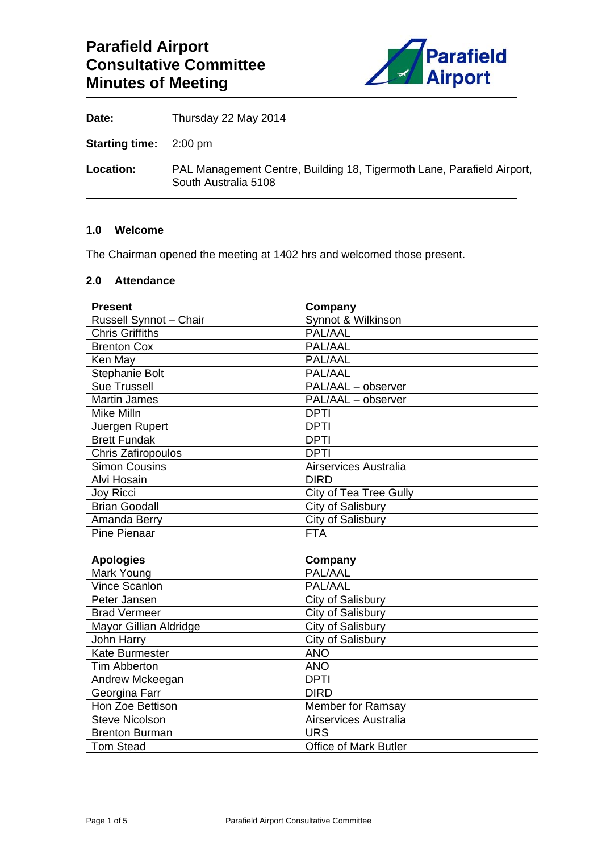

**Date:** Thursday 22 May 2014

**Starting time:** 2:00 pm

**Location:** PAL Management Centre, Building 18, Tigermoth Lane, Parafield Airport, South Australia 5108

#### **1.0 Welcome**

The Chairman opened the meeting at 1402 hrs and welcomed those present.

#### **2.0 Attendance**

| <b>Present</b>         | Company                |
|------------------------|------------------------|
| Russell Synnot - Chair | Synnot & Wilkinson     |
| <b>Chris Griffiths</b> | PAL/AAL                |
| <b>Brenton Cox</b>     | PAL/AAL                |
| Ken May                | PAL/AAL                |
| Stephanie Bolt         | PAL/AAL                |
| <b>Sue Trussell</b>    | PAL/AAL - observer     |
| <b>Martin James</b>    | PAL/AAL - observer     |
| Mike Milln             | <b>DPTI</b>            |
| Juergen Rupert         | <b>DPTI</b>            |
| <b>Brett Fundak</b>    | <b>DPTI</b>            |
| Chris Zafiropoulos     | <b>DPTI</b>            |
| <b>Simon Cousins</b>   | Airservices Australia  |
| Alvi Hosain            | <b>DIRD</b>            |
| Joy Ricci              | City of Tea Tree Gully |
| <b>Brian Goodall</b>   | City of Salisbury      |
| Amanda Berry           | City of Salisbury      |
| Pine Pienaar           | FTA                    |

| <b>Apologies</b>       | Company                      |
|------------------------|------------------------------|
| Mark Young             | PAL/AAL                      |
| Vince Scanlon          | PAL/AAL                      |
| Peter Jansen           | City of Salisbury            |
| <b>Brad Vermeer</b>    | City of Salisbury            |
| Mayor Gillian Aldridge | City of Salisbury            |
| John Harry             | City of Salisbury            |
| <b>Kate Burmester</b>  | <b>ANO</b>                   |
| Tim Abberton           | <b>ANO</b>                   |
| Andrew Mckeegan        | <b>DPTI</b>                  |
| Georgina Farr          | <b>DIRD</b>                  |
| Hon Zoe Bettison       | <b>Member for Ramsay</b>     |
| <b>Steve Nicolson</b>  | Airservices Australia        |
| <b>Brenton Burman</b>  | <b>URS</b>                   |
| <b>Tom Stead</b>       | <b>Office of Mark Butler</b> |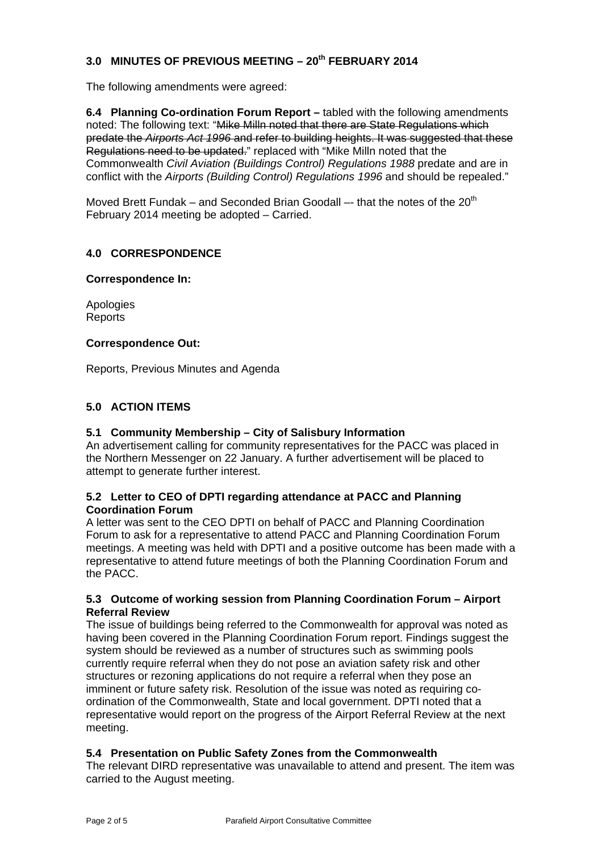# **3.0 MINUTES OF PREVIOUS MEETING – 20th FEBRUARY 2014**

The following amendments were agreed:

**6.4 Planning Co-ordination Forum Report –** tabled with the following amendments noted: The following text: "Mike Milln noted that there are State Regulations which predate the *Airports Act 1996* and refer to building heights. It was suggested that these Regulations need to be updated." replaced with "Mike Milln noted that the Commonwealth *Civil Aviation (Buildings Control) Regulations 1988* predate and are in conflict with the *Airports (Building Control) Regulations 1996* and should be repealed."

Moved Brett Fundak – and Seconded Brian Goodall –- that the notes of the  $20<sup>th</sup>$ February 2014 meeting be adopted – Carried.

## **4.0 CORRESPONDENCE**

#### **Correspondence In:**

Apologies **Reports** 

#### **Correspondence Out:**

Reports, Previous Minutes and Agenda

## **5.0 ACTION ITEMS**

## **5.1 Community Membership – City of Salisbury Information**

An advertisement calling for community representatives for the PACC was placed in the Northern Messenger on 22 January. A further advertisement will be placed to attempt to generate further interest.

## **5.2 Letter to CEO of DPTI regarding attendance at PACC and Planning Coordination Forum**

A letter was sent to the CEO DPTI on behalf of PACC and Planning Coordination Forum to ask for a representative to attend PACC and Planning Coordination Forum meetings. A meeting was held with DPTI and a positive outcome has been made with a representative to attend future meetings of both the Planning Coordination Forum and the PACC.

## **5.3 Outcome of working session from Planning Coordination Forum – Airport Referral Review**

The issue of buildings being referred to the Commonwealth for approval was noted as having been covered in the Planning Coordination Forum report. Findings suggest the system should be reviewed as a number of structures such as swimming pools currently require referral when they do not pose an aviation safety risk and other structures or rezoning applications do not require a referral when they pose an imminent or future safety risk. Resolution of the issue was noted as requiring coordination of the Commonwealth, State and local government. DPTI noted that a representative would report on the progress of the Airport Referral Review at the next meeting.

## **5.4 Presentation on Public Safety Zones from the Commonwealth**

The relevant DIRD representative was unavailable to attend and present. The item was carried to the August meeting.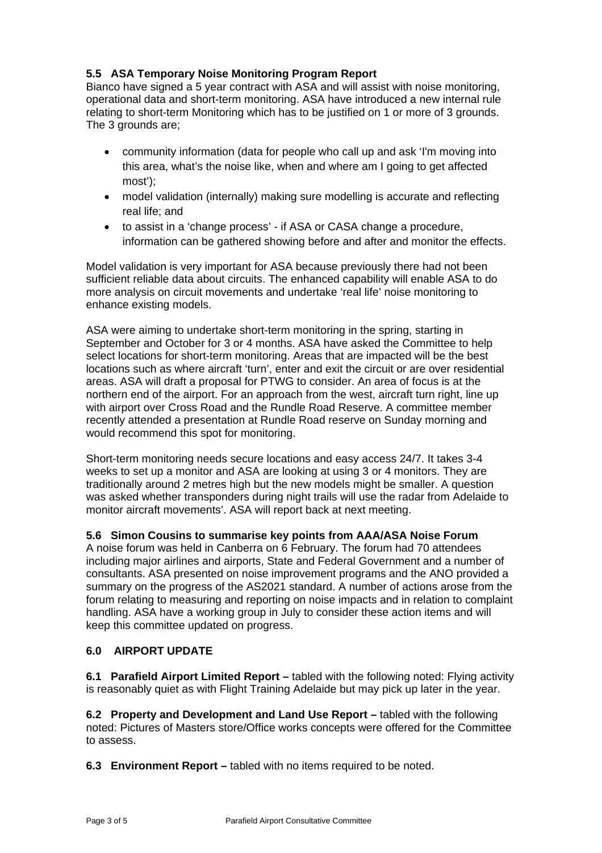# **5.5 ASA Temporary Noise Monitoring Program Report**

Bianco have signed a 5 year contract with ASA and will assist with noise monitoring, operational data and short-term monitoring. ASA have introduced a new internal rule relating to short-term Monitoring which has to be justified on 1 or more of 3 grounds. The 3 grounds are;

- community information (data for people who call up and ask 'I'm moving into this area, what's the noise like, when and where am I going to get affected most');
- model validation (internally) making sure modelling is accurate and reflecting real life; and
- to assist in a 'change process' if ASA or CASA change a procedure, information can be gathered showing before and after and monitor the effects.

Model validation is very important for ASA because previously there had not been sufficient reliable data about circuits. The enhanced capability will enable ASA to do more analysis on circuit movements and undertake 'real life' noise monitoring to enhance existing models.

ASA were aiming to undertake short-term monitoring in the spring, starting in September and October for 3 or 4 months. ASA have asked the Committee to help select locations for short-term monitoring. Areas that are impacted will be the best locations such as where aircraft 'turn', enter and exit the circuit or are over residential areas. ASA will draft a proposal for PTWG to consider. An area of focus is at the northern end of the airport. For an approach from the west, aircraft turn right, line up with airport over Cross Road and the Rundle Road Reserve. A committee member recently attended a presentation at Rundle Road reserve on Sunday morning and would recommend this spot for monitoring.

Short-term monitoring needs secure locations and easy access 24/7. It takes 3-4 weeks to set up a monitor and ASA are looking at using 3 or 4 monitors. They are traditionally around 2 metres high but the new models might be smaller. A question was asked whether transponders during night trails will use the radar from Adelaide to monitor aircraft movements'. ASA will report back at next meeting.

## **5.6 Simon Cousins to summarise key points from AAA/ASA Noise Forum**

A noise forum was held in Canberra on 6 February. The forum had 70 attendees including major airlines and airports, State and Federal Government and a number of consultants. ASA presented on noise improvement programs and the ANO provided a summary on the progress of the AS2021 standard. A number of actions arose from the forum relating to measuring and reporting on noise impacts and in relation to complaint handling. ASA have a working group in July to consider these action items and will keep this committee updated on progress.

# **6.0 AIRPORT UPDATE**

**6.1 Parafield Airport Limited Report –** tabled with the following noted: Flying activity is reasonably quiet as with Flight Training Adelaide but may pick up later in the year.

**6.2 Property and Development and Land Use Report –** tabled with the following noted: Pictures of Masters store/Office works concepts were offered for the Committee to assess.

**6.3 Environment Report –** tabled with no items required to be noted.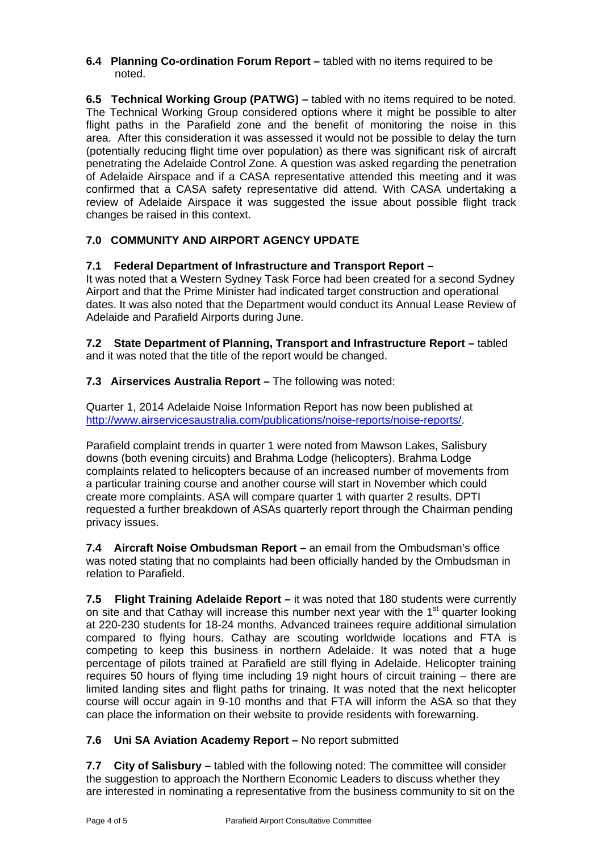#### **6.4 Planning Co-ordination Forum Report –** tabled with no items required to be noted.

**6.5 Technical Working Group (PATWG) –** tabled with no items required to be noted. The Technical Working Group considered options where it might be possible to alter flight paths in the Parafield zone and the benefit of monitoring the noise in this area. After this consideration it was assessed it would not be possible to delay the turn (potentially reducing flight time over population) as there was significant risk of aircraft penetrating the Adelaide Control Zone. A question was asked regarding the penetration of Adelaide Airspace and if a CASA representative attended this meeting and it was confirmed that a CASA safety representative did attend. With CASA undertaking a review of Adelaide Airspace it was suggested the issue about possible flight track changes be raised in this context.

# **7.0 COMMUNITY AND AIRPORT AGENCY UPDATE**

# **7.1 Federal Department of Infrastructure and Transport Report –**

It was noted that a Western Sydney Task Force had been created for a second Sydney Airport and that the Prime Minister had indicated target construction and operational dates. It was also noted that the Department would conduct its Annual Lease Review of Adelaide and Parafield Airports during June.

**7.2 State Department of Planning, Transport and Infrastructure Report –** tabled and it was noted that the title of the report would be changed.

**7.3 Airservices Australia Report – The following was noted:** 

Quarter 1, 2014 Adelaide Noise Information Report has now been published at http://www.airservicesaustralia.com/publications/noise-reports/noise-reports/.

Parafield complaint trends in quarter 1 were noted from Mawson Lakes, Salisbury downs (both evening circuits) and Brahma Lodge (helicopters). Brahma Lodge complaints related to helicopters because of an increased number of movements from a particular training course and another course will start in November which could create more complaints. ASA will compare quarter 1 with quarter 2 results. DPTI requested a further breakdown of ASAs quarterly report through the Chairman pending privacy issues.

**7.4 Aircraft Noise Ombudsman Report –** an email from the Ombudsman's office was noted stating that no complaints had been officially handed by the Ombudsman in relation to Parafield.

**7.5 Flight Training Adelaide Report –** it was noted that 180 students were currently on site and that Cathay will increase this number next year with the  $1<sup>st</sup>$  quarter looking at 220-230 students for 18-24 months. Advanced trainees require additional simulation compared to flying hours. Cathay are scouting worldwide locations and FTA is competing to keep this business in northern Adelaide. It was noted that a huge percentage of pilots trained at Parafield are still flying in Adelaide. Helicopter training requires 50 hours of flying time including 19 night hours of circuit training – there are limited landing sites and flight paths for trinaing. It was noted that the next helicopter course will occur again in 9-10 months and that FTA will inform the ASA so that they can place the information on their website to provide residents with forewarning.

# **7.6 Uni SA Aviation Academy Report –** No report submitted

**7.7 City of Salisbury –** tabled with the following noted: The committee will consider the suggestion to approach the Northern Economic Leaders to discuss whether they are interested in nominating a representative from the business community to sit on the